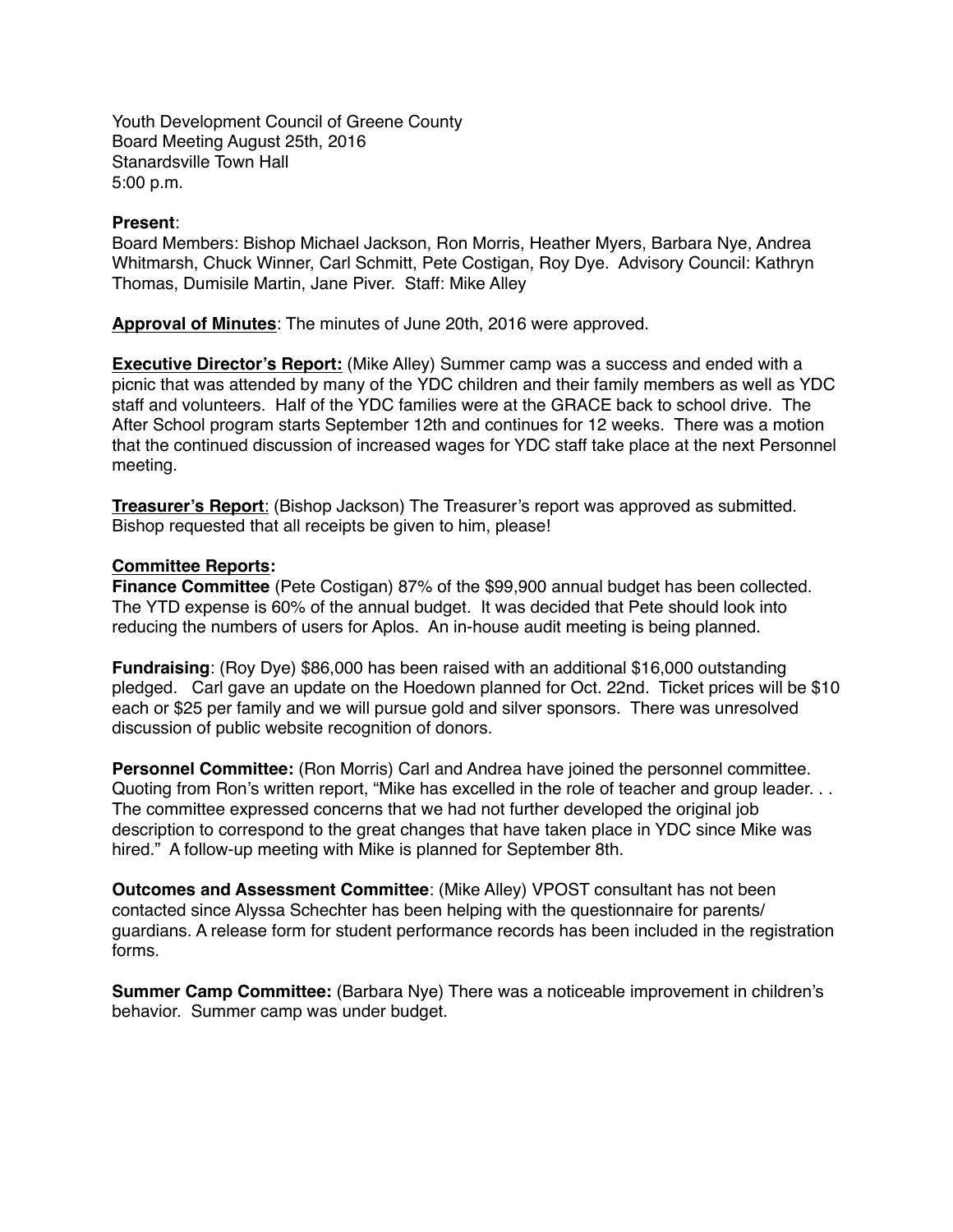Youth Development Council of Greene County Board Meeting August 25th, 2016 Stanardsville Town Hall 5:00 p.m.

## **Present**:

Board Members: Bishop Michael Jackson, Ron Morris, Heather Myers, Barbara Nye, Andrea Whitmarsh, Chuck Winner, Carl Schmitt, Pete Costigan, Roy Dye. Advisory Council: Kathryn Thomas, Dumisile Martin, Jane Piver. Staff: Mike Alley

**Approval of Minutes**: The minutes of June 20th, 2016 were approved.

**Executive Director's Report:** (Mike Alley) Summer camp was a success and ended with a picnic that was attended by many of the YDC children and their family members as well as YDC staff and volunteers. Half of the YDC families were at the GRACE back to school drive. The After School program starts September 12th and continues for 12 weeks. There was a motion that the continued discussion of increased wages for YDC staff take place at the next Personnel meeting.

**Treasurer's Report**: (Bishop Jackson) The Treasurer's report was approved as submitted. Bishop requested that all receipts be given to him, please!

## **Committee Reports:**

**Finance Committee** (Pete Costigan) 87% of the \$99,900 annual budget has been collected. The YTD expense is 60% of the annual budget. It was decided that Pete should look into reducing the numbers of users for Aplos. An in-house audit meeting is being planned.

**Fundraising**: (Roy Dye) \$86,000 has been raised with an additional \$16,000 outstanding pledged. Carl gave an update on the Hoedown planned for Oct. 22nd. Ticket prices will be \$10 each or \$25 per family and we will pursue gold and silver sponsors. There was unresolved discussion of public website recognition of donors.

**Personnel Committee:** (Ron Morris) Carl and Andrea have joined the personnel committee. Quoting from Ron's written report, "Mike has excelled in the role of teacher and group leader. . . The committee expressed concerns that we had not further developed the original job description to correspond to the great changes that have taken place in YDC since Mike was hired." A follow-up meeting with Mike is planned for September 8th.

**Outcomes and Assessment Committee**: (Mike Alley) VPOST consultant has not been contacted since Alyssa Schechter has been helping with the questionnaire for parents/ guardians. A release form for student performance records has been included in the registration forms.

**Summer Camp Committee:** (Barbara Nye) There was a noticeable improvement in children's behavior. Summer camp was under budget.